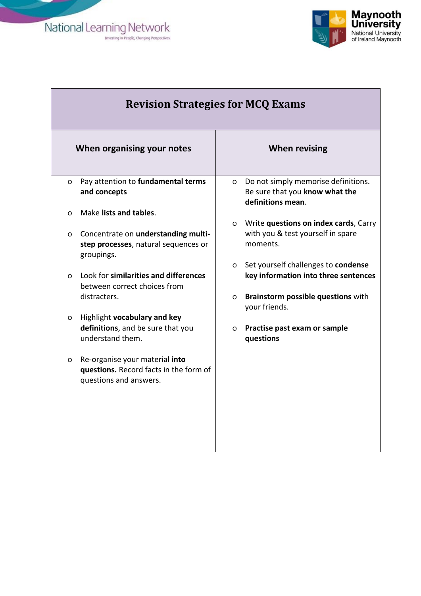National Learning Network



|          | <b>Revision Strategies for MCQ Exams</b>                                                           |          |                                                                                            |  |  |
|----------|----------------------------------------------------------------------------------------------------|----------|--------------------------------------------------------------------------------------------|--|--|
|          | When organising your notes                                                                         |          | <b>When revising</b>                                                                       |  |  |
| $\Omega$ | Pay attention to fundamental terms<br>and concepts                                                 | $\Omega$ | Do not simply memorise definitions.<br>Be sure that you know what the<br>definitions mean. |  |  |
| $\Omega$ | Make lists and tables.                                                                             |          |                                                                                            |  |  |
| O        | Concentrate on understanding multi-<br>step processes, natural sequences or<br>groupings.          | $\Omega$ | Write questions on index cards, Carry<br>with you & test yourself in spare<br>moments.     |  |  |
|          |                                                                                                    | $\Omega$ | Set yourself challenges to condense                                                        |  |  |
| $\Omega$ | Look for similarities and differences<br>between correct choices from                              |          | key information into three sentences                                                       |  |  |
|          | distracters.                                                                                       | $\circ$  | Brainstorm possible questions with<br>your friends.                                        |  |  |
| O        | Highlight vocabulary and key                                                                       |          |                                                                                            |  |  |
|          | definitions, and be sure that you<br>understand them.                                              | $\circ$  | Practise past exam or sample<br>questions                                                  |  |  |
| O        | Re-organise your material into<br>questions. Record facts in the form of<br>questions and answers. |          |                                                                                            |  |  |
|          |                                                                                                    |          |                                                                                            |  |  |